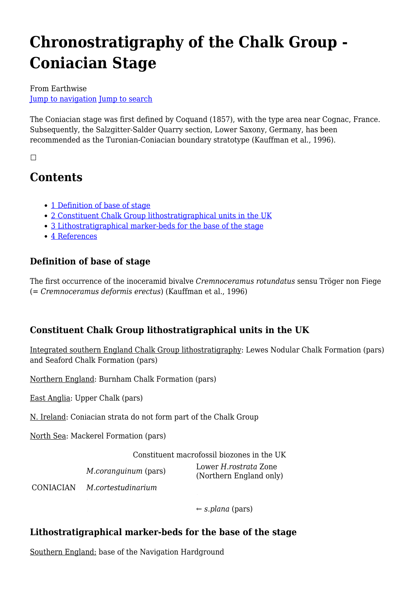# **Chronostratigraphy of the Chalk Group - Coniacian Stage**

From Earthwise [Jump to navigation](#page--1-0) [Jump to search](#page--1-0)

The Coniacian stage was first defined by Coquand (1857), with the type area near Cognac, France. Subsequently, the Salzgitter-Salder Quarry section, Lower Saxony, Germany, has been recommended as the Turonian-Coniacian boundary stratotype (Kauffman et al., 1996).

 $\Box$ 

# **Contents**

- [1](#page--1-0) [Definition of base of stage](#page--1-0)
- [2](#page--1-0) [Constituent Chalk Group lithostratigraphical units in the UK](#page--1-0)
- [3](#page--1-0) [Lithostratigraphical marker-beds for the base of the stage](#page--1-0)
- [4](#page--1-0) [References](#page--1-0)

# **Definition of base of stage**

The first occurrence of the inoceramid bivalve *Cremnoceramus rotundatus* sensu Tröger non Fiege (= *Cremnoceramus deformis erectus*) (Kauffman et al., 1996)

# **Constituent Chalk Group lithostratigraphical units in the UK**

Integrated southern England Chalk Group lithostratigraphy: Lewes Nodular Chalk Formation (pars) and Seaford Chalk Formation (pars)

Northern England: Burnham Chalk Formation (pars)

East Anglia: Upper Chalk (pars)

N. Ireland: Coniacian strata do not form part of the Chalk Group

North Sea: Mackerel Formation (pars)

Constituent macrofossil biozones in the UK *M.coranguinum* (pars) Lower *H.rostrata* Zone (Northern England only)

CONIACIAN *M.cortestudinarium*

 $\leftarrow$  *s.plana* (pars)

# **Lithostratigraphical marker-beds for the base of the stage**

Southern England: base of the Navigation Hardground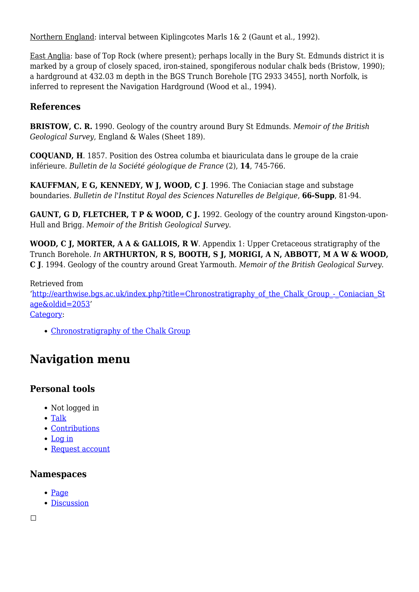Northern England: interval between Kiplingcotes Marls 1& 2 (Gaunt et al., 1992).

East Anglia: base of Top Rock (where present); perhaps locally in the Bury St. Edmunds district it is marked by a group of closely spaced, iron-stained, spongiferous nodular chalk beds (Bristow, 1990); a hardground at 432.03 m depth in the BGS Trunch Borehole [TG 2933 3455], north Norfolk, is inferred to represent the Navigation Hardground (Wood et al., 1994).

#### **References**

**BRISTOW, C. R.** 1990. Geology of the country around Bury St Edmunds. *Memoir of the British Geological Survey*, England & Wales (Sheet 189).

**COQUAND, H**. 1857. Position des Ostrea columba et biauriculata dans le groupe de la craie inférieure. *Bulletin de la Société géologique de France* (2), **14**, 745-766.

**KAUFFMAN, E G, KENNEDY, W J, WOOD, C J**. 1996. The Coniacian stage and substage boundaries. *Bulletin de l'Institut Royal des Sciences Naturelles de Belgique*, **66-Supp**, 81-94.

**GAUNT, G D, FLETCHER, T P & WOOD, C J.** 1992. Geology of the country around Kingston-upon-Hull and Brigg. *Memoir of the British Geological Survey*.

**WOOD, C J, MORTER, A A & GALLOIS, R W**. Appendix 1: Upper Cretaceous stratigraphy of the Trunch Borehole. *In* **ARTHURTON, R S, BOOTH, S J, MORIGI, A N, ABBOTT, M A W & WOOD, C J**. 1994. Geology of the country around Great Yarmouth. *Memoir of the British Geological Survey.*

Retrieved from '[http://earthwise.bgs.ac.uk/index.php?title=Chronostratigraphy\\_of\\_the\\_Chalk\\_Group\\_-\\_Coniacian\\_St](http://earthwise.bgs.ac.uk/index.php?title=Chronostratigraphy_of_the_Chalk_Group_-_Coniacian_Stage&oldid=2053) [age&oldid=2053'](http://earthwise.bgs.ac.uk/index.php?title=Chronostratigraphy_of_the_Chalk_Group_-_Coniacian_Stage&oldid=2053) [Category](http://earthwise.bgs.ac.uk/index.php/Special:Categories):

[Chronostratigraphy of the Chalk Group](http://earthwise.bgs.ac.uk/index.php/Category:Chronostratigraphy_of_the_Chalk_Group)

# **Navigation menu**

# **Personal tools**

- Not logged in
- [Talk](http://earthwise.bgs.ac.uk/index.php/Special:MyTalk)
- [Contributions](http://earthwise.bgs.ac.uk/index.php/Special:MyContributions)
- [Log in](http://earthwise.bgs.ac.uk/index.php?title=Special:UserLogin&returnto=Chronostratigraphy+of+the+Chalk+Group+-+Coniacian+Stage&returntoquery=action%3Dmpdf)
- [Request account](http://earthwise.bgs.ac.uk/index.php/Special:RequestAccount)

#### **Namespaces**

- [Page](http://earthwise.bgs.ac.uk/index.php/Chronostratigraphy_of_the_Chalk_Group_-_Coniacian_Stage)
- [Discussion](http://earthwise.bgs.ac.uk/index.php?title=Talk:Chronostratigraphy_of_the_Chalk_Group_-_Coniacian_Stage&action=edit&redlink=1)

 $\Box$